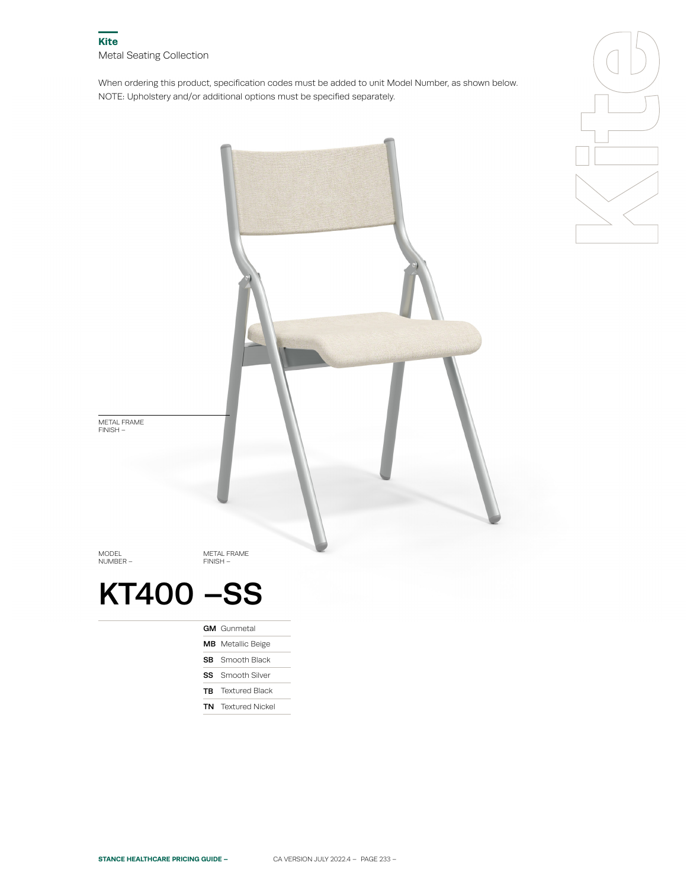When ordering this product, specification codes must be added to unit Model Number, as shown below. NOTE: Upholstery and/or additional options must be specified separately.





**TB** Textured Black

TN Textured Nickel